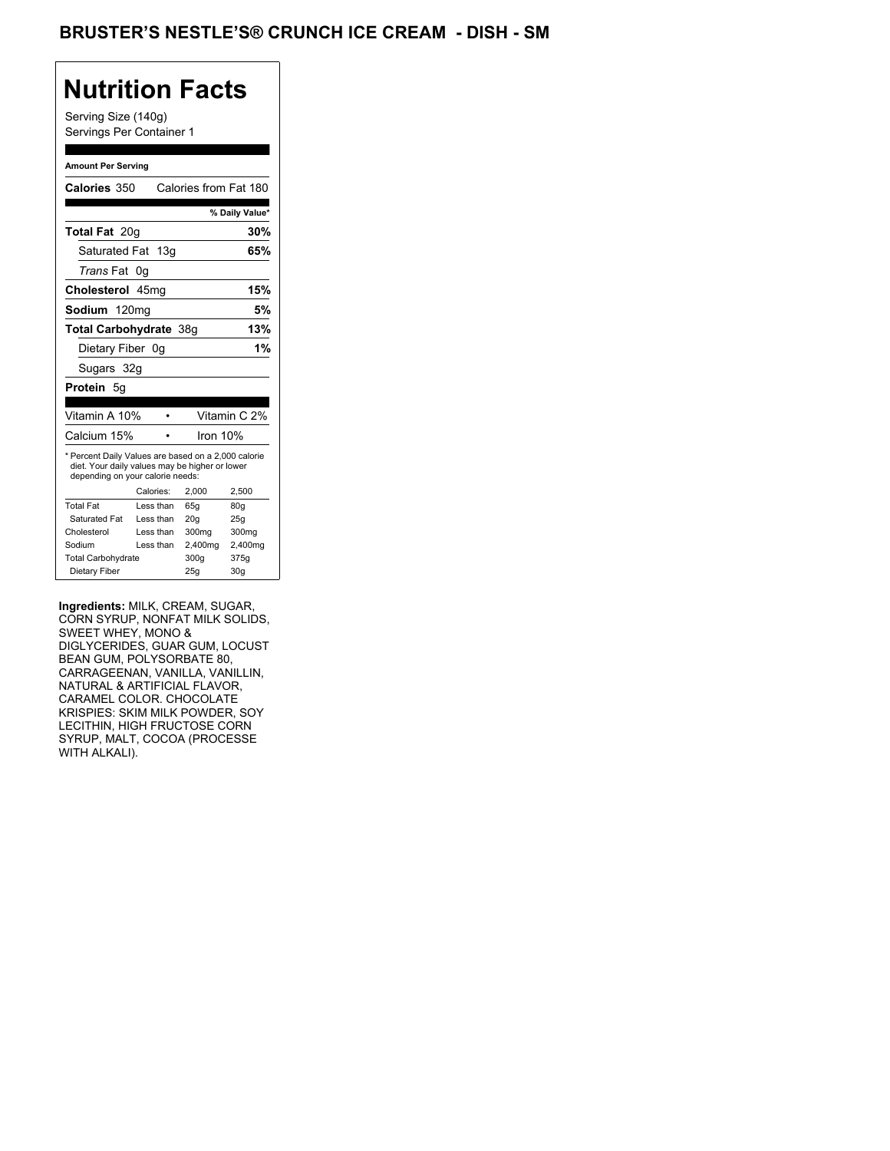## **Nutrition Facts**

Serving Size (140g) Servings Per Container 1

#### **Amount Per Serving**

| Calories 350                                                                                                                              |           | Calories from Fat 180 |                |
|-------------------------------------------------------------------------------------------------------------------------------------------|-----------|-----------------------|----------------|
|                                                                                                                                           |           |                       |                |
|                                                                                                                                           |           |                       | % Daily Value* |
| Total Fat 20g                                                                                                                             |           |                       | 30%            |
| Saturated Fat 13g                                                                                                                         |           |                       | 65%            |
| <i>Trans</i> Fat                                                                                                                          | 0g        |                       |                |
| Cholesterol 45mg                                                                                                                          |           |                       | 15%            |
| Sodium 120mg                                                                                                                              |           |                       | 5%             |
| Total Carbohydrate 38g                                                                                                                    |           |                       | 13%            |
| Dietary Fiber 0g                                                                                                                          |           |                       | 1%             |
| Sugars 32g                                                                                                                                |           |                       |                |
| <b>Protein 5g</b>                                                                                                                         |           |                       |                |
|                                                                                                                                           |           |                       |                |
| Vitamin A 10%                                                                                                                             |           |                       | Vitamin C 2%   |
| Calcium 15%                                                                                                                               |           | Iron 10%              |                |
| * Percent Daily Values are based on a 2,000 calorie<br>diet. Your daily values may be higher or lower<br>depending on your calorie needs: |           |                       |                |
|                                                                                                                                           | Calories: | 2.000                 | 2.500          |
| <b>Total Fat</b>                                                                                                                          | Less than | 65q                   | 80q            |
| Saturated Fat                                                                                                                             | Less than | 20q                   | 25q            |
| Cholesterol                                                                                                                               | Less than | 300mg                 | 300mg          |
| Sodium                                                                                                                                    | Less than | 2,400mg               | 2,400mg        |
|                                                                                                                                           |           |                       |                |
| <b>Total Carbohydrate</b>                                                                                                                 |           | 300g                  | 375g           |

**Ingredients:** MILK, CREAM, SUGAR, CORN SYRUP, NONFAT MILK SOLIDS, SWEET WHEY, MONO & DIGLYCERIDES, GUAR GUM, LOCUST BEAN GUM, POLYSORBATE 80, CARRAGEENAN, VANILLA, VANILLIN, NATURAL & ARTIFICIAL FLAVOR, CARAMEL COLOR. CHOCOLATE KRISPIES: SKIM MILK POWDER, SOY LECITHIN, HIGH FRUCTOSE CORN SYRUP, MALT, COCOA (PROCESSE WITH ALKALI).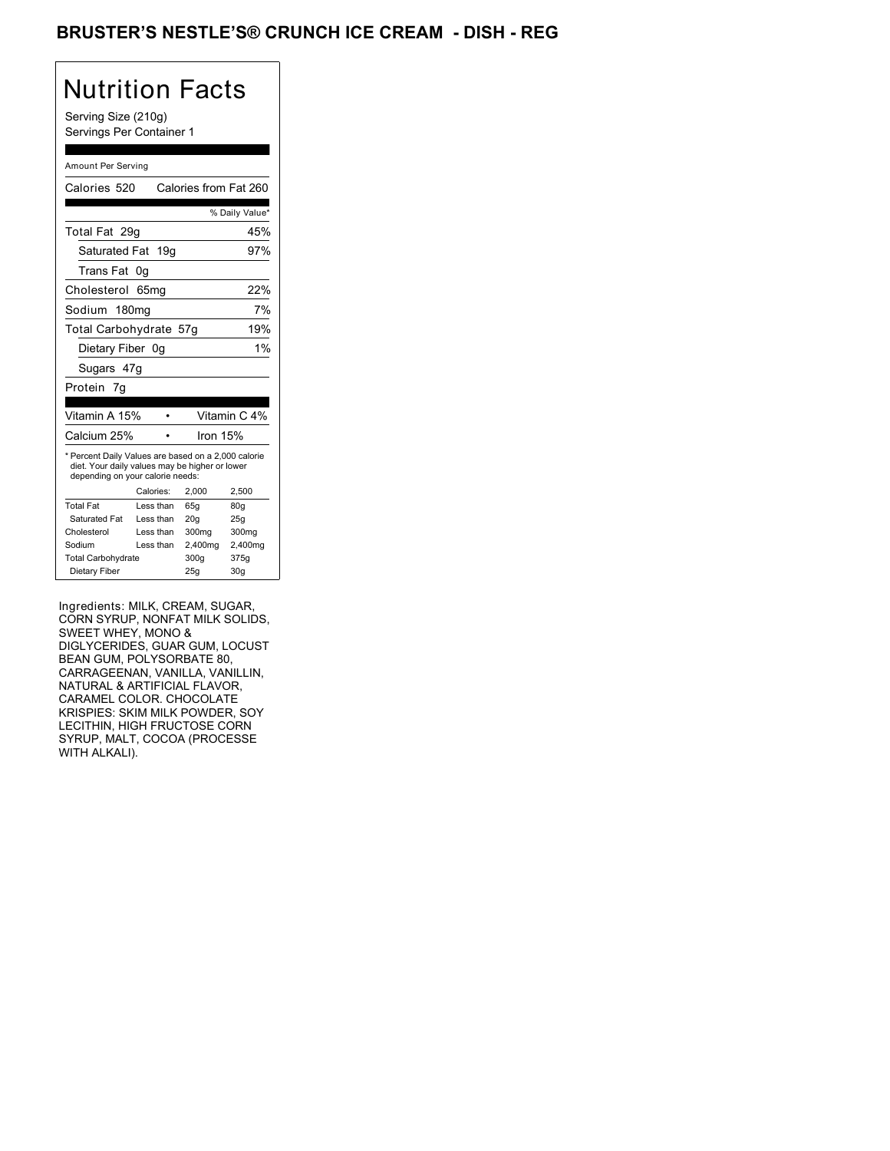## BRUSTER'S NESTLE'S® CRUNCH ICE CREAM - DISH - REG

# Nutrition Facts

Serving Size (210g) Servings Per Container 1

#### Amount Per Serving

| Calories 520                                                                                                                              |                  | Calories from Fat 260 |                |
|-------------------------------------------------------------------------------------------------------------------------------------------|------------------|-----------------------|----------------|
|                                                                                                                                           |                  |                       | % Daily Value* |
| Total Fat 29q                                                                                                                             |                  |                       | 45%            |
| Saturated Fat 19g                                                                                                                         |                  |                       | 97%            |
| Trans Fat                                                                                                                                 | 0g               |                       |                |
| Cholesterol                                                                                                                               | 65 <sub>mq</sub> |                       | 22%            |
| Sodium 180mg                                                                                                                              |                  |                       | 7%             |
| Total Carbohydrate 57g                                                                                                                    |                  |                       | 19%            |
| Dietary Fiber 0g                                                                                                                          |                  |                       | 1%             |
| Sugars 47g                                                                                                                                |                  |                       |                |
| Protein 7q                                                                                                                                |                  |                       |                |
|                                                                                                                                           |                  |                       |                |
| Vitamin A 15%                                                                                                                             |                  |                       | Vitamin C 4%   |
| Calcium 25%                                                                                                                               |                  | Iron 15%              |                |
| * Percent Daily Values are based on a 2,000 calorie<br>diet. Your daily values may be higher or lower<br>depending on your calorie needs: |                  |                       |                |
|                                                                                                                                           | Calories:        | 2,000                 | 2,500          |
| <b>Total Fat</b>                                                                                                                          | Less than        | 65q                   | 80q            |
| Saturated Fat                                                                                                                             | Less than        | 20q                   | 25q            |
| Cholesterol                                                                                                                               | Less than        | 300mg                 | 300mg          |
| Sodium                                                                                                                                    | Less than        | 2,400mg               | 2,400mg        |
|                                                                                                                                           |                  |                       |                |
| <b>Total Carbohydrate</b>                                                                                                                 |                  | 300g                  | 375g           |

Ingredients: MILK, CREAM, SUGAR, CORN SYRUP, NONFAT MILK SOLIDS, SWEET WHEY, MONO & DIGLYCERIDES, GUAR GUM, LOCUST BEAN GUM, POLYSORBATE 80, CARRAGEENAN, VANILLA, VANILLIN, NATURAL & ARTIFICIAL FLAVOR, CARAMEL COLOR. CHOCOLATE KRISPIES: SKIM MILK POWDER, SOY LECITHIN, HIGH FRUCTOSE CORN SYRUP, MALT, COCOA (PROCESSE WITH ALKALI).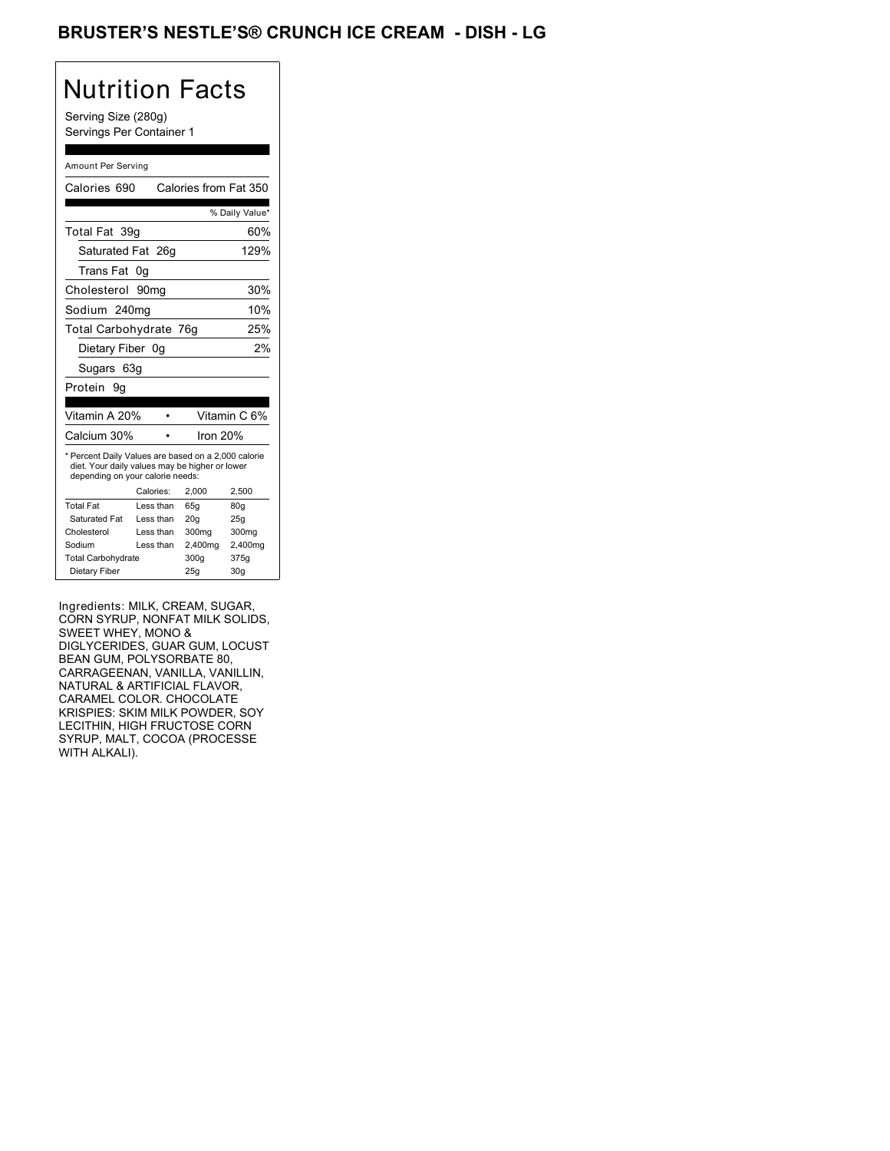## BRUSTER'S NESTLE'S® CRUNCH ICE CREAM - DISH - LG

# Nutrition Facts

Serving Size (280g) Servings Per Container 1

#### Amount Per Serving

| Calories 690                                                                                                                              |           | Calories from Fat 350 |                |
|-------------------------------------------------------------------------------------------------------------------------------------------|-----------|-----------------------|----------------|
|                                                                                                                                           |           |                       | % Daily Value* |
| Total Fat 39q                                                                                                                             |           |                       | 60%            |
| Saturated Fat 26g                                                                                                                         |           |                       | 129%           |
| Trans Fat                                                                                                                                 | 0g        |                       |                |
| Cholesterol 90mg                                                                                                                          |           |                       | 30%            |
| Sodium 240mg                                                                                                                              |           |                       | 10%            |
| Total Carbohydrate 76g                                                                                                                    |           |                       | 25%            |
| Dietary Fiber 0q                                                                                                                          |           |                       | 2%             |
| Sugars 63g                                                                                                                                |           |                       |                |
| Protein<br>9q                                                                                                                             |           |                       |                |
|                                                                                                                                           |           |                       |                |
| Vitamin A 20%                                                                                                                             |           |                       | Vitamin C 6%   |
| Calcium 30%                                                                                                                               |           | Iron $20%$            |                |
| * Percent Daily Values are based on a 2,000 calorie<br>diet. Your daily values may be higher or lower<br>depending on your calorie needs: |           |                       |                |
|                                                                                                                                           | Calories: | 2.000                 | 2.500          |
| <b>Total Fat</b>                                                                                                                          | Less than | 65q                   | 80q            |
| Saturated Fat                                                                                                                             | Less than | 20q                   | 25q            |
| Cholesterol                                                                                                                               | Less than | 300mg                 | 300mg          |
| Sodium                                                                                                                                    | Less than | 2,400mg               | 2,400mg        |
| <b>Total Carbohydrate</b>                                                                                                                 |           | 300g                  | 375g           |
| Dietary Fiber                                                                                                                             |           | 25q                   | 30q            |

Ingredients: MILK, CREAM, SUGAR, CORN SYRUP, NONFAT MILK SOLIDS, SWEET WHEY, MONO & DIGLYCERIDES, GUAR GUM, LOCUST BEAN GUM, POLYSORBATE 80, CARRAGEENAN, VANILLA, VANILLIN, NATURAL & ARTIFICIAL FLAVOR, CARAMEL COLOR. CHOCOLATE KRISPIES: SKIM MILK POWDER, SOY LECITHIN, HIGH FRUCTOSE CORN SYRUP, MALT, COCOA (PROCESSE WITH ALKALI).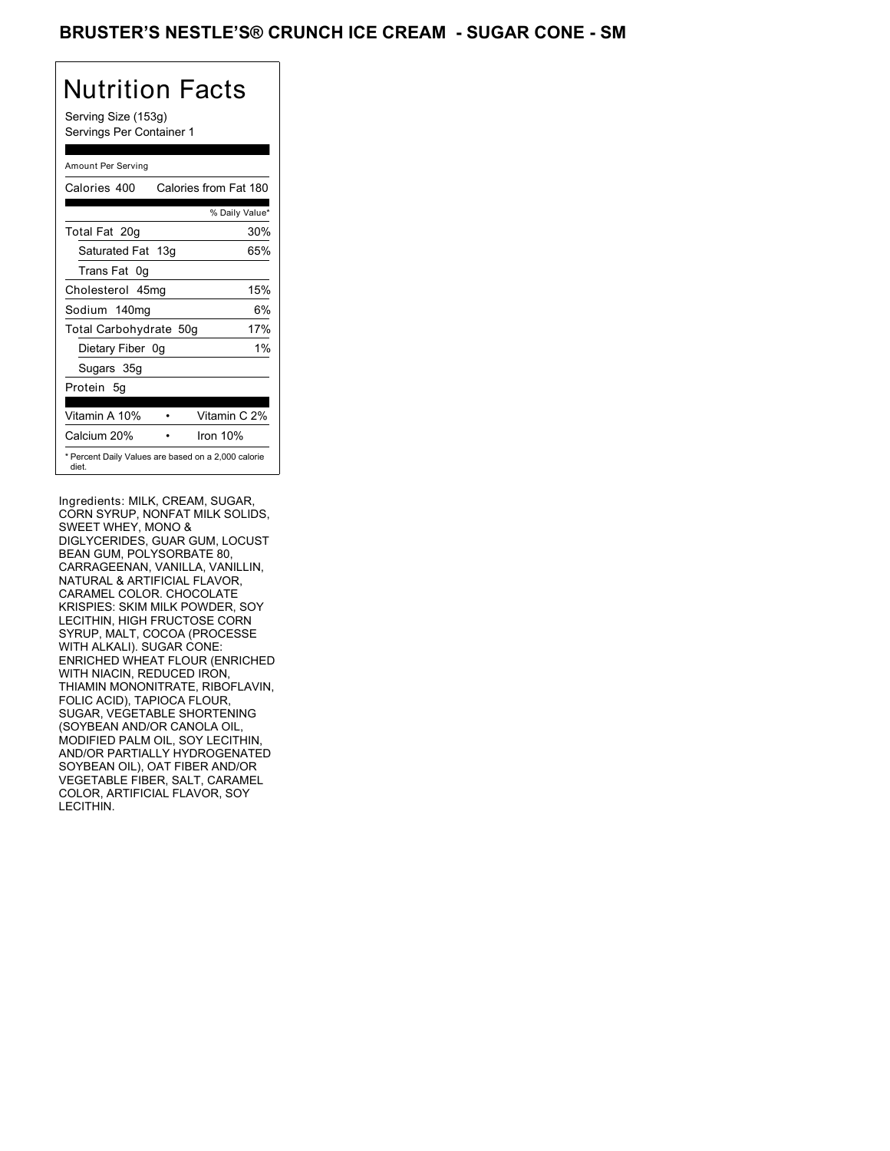### BRUSTER'S NESTLE'S® CRUNCH ICE CREAM - SUGAR CONE - SM

## Nutrition Facts

Serving Size (153g) Servings Per Container 1

### Amount Per Serving

| Calories 400                                                 |  | Calories from Fat 180 |
|--------------------------------------------------------------|--|-----------------------|
|                                                              |  | % Daily Value*        |
| Total Fat 20g                                                |  | 30%                   |
| Saturated Fat 13g                                            |  | 65%                   |
| Trans Fat 0q                                                 |  |                       |
| Cholesterol 45mg                                             |  | 15%                   |
| Sodium 140mg                                                 |  | 6%                    |
| Total Carbohydrate 50g                                       |  | 17%                   |
| Dietary Fiber 0g                                             |  | $1\%$                 |
| Sugars 35g                                                   |  |                       |
| Protein 5q                                                   |  |                       |
| Vitamin A 10%                                                |  | Vitamin C 2%          |
| Calcium 20%                                                  |  | Iron 10%              |
| * Percent Daily Values are based on a 2,000 calorie<br>diet. |  |                       |

Ingredients: MILK, CREAM, SUGAR, CORN SYRUP, NONFAT MILK SOLIDS, SWEET WHEY, MONO & DIGLYCERIDES, GUAR GUM, LOCUST BEAN GUM, POLYSORBATE 80, CARRAGEENAN, VANILLA, VANILLIN, NATURAL & ARTIFICIAL FLAVOR, CARAMEL COLOR. CHOCOLATE KRISPIES: SKIM MILK POWDER, SOY LECITHIN, HIGH FRUCTOSE CORN SYRUP, MALT, COCOA (PROCESSE WITH ALKALI). SUGAR CONE: ENRICHED WHEAT FLOUR (ENRICHED WITH NIACIN, REDUCED IRON, THIAMIN MONONITRATE, RIBOFLAVIN, FOLIC ACID), TAPIOCA FLOUR, SUGAR, VEGETABLE SHORTENING (SOYBEAN AND/OR CANOLA OIL, MODIFIED PALM OIL, SOY LECITHIN, AND/OR PARTIALLY HYDROGENATED SOYBEAN OIL), OAT FIBER AND/OR VEGETABLE FIBER, SALT, CARAMEL COLOR, ARTIFICIAL FLAVOR, SOY LECITHIN.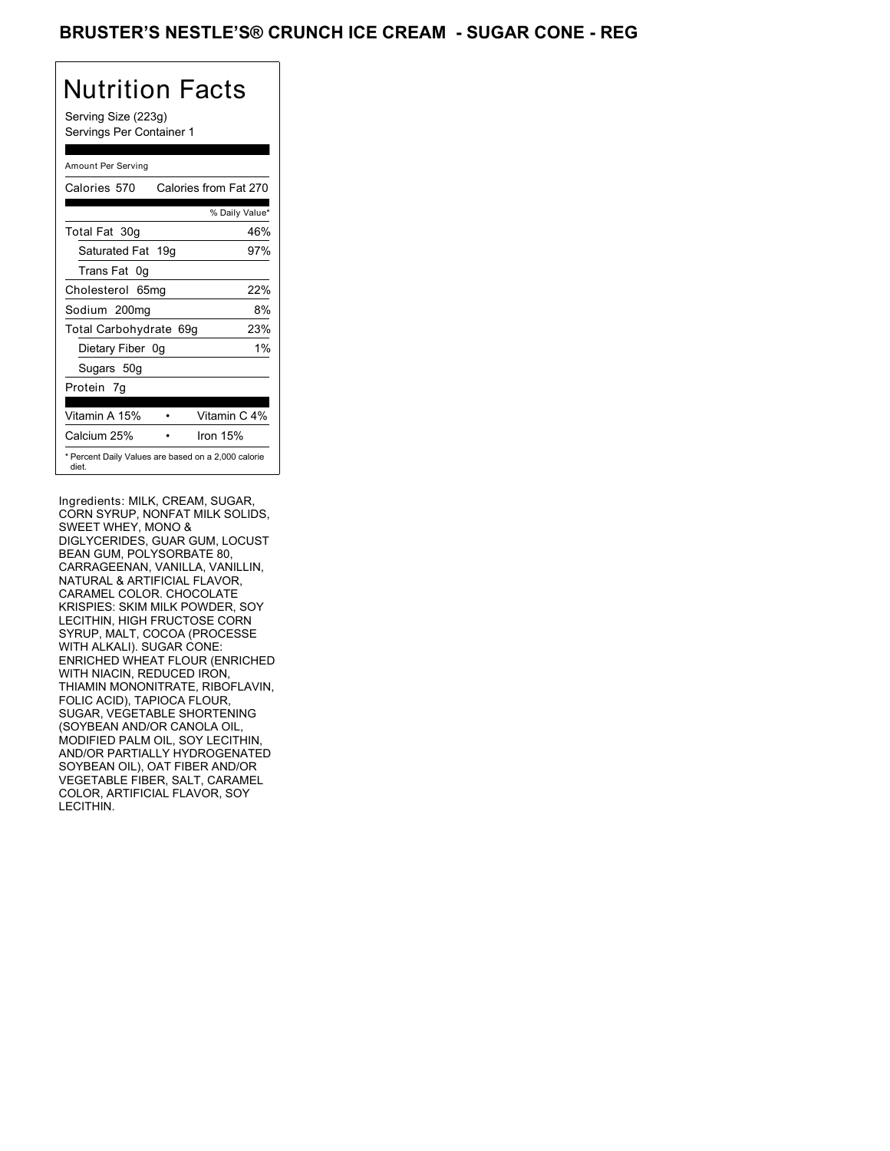### BRUSTER'S NESTLE'S® CRUNCH ICE CREAM - SUGAR CONE - REG

## Nutrition Facts

Serving Size (223g) Servings Per Container 1

### Amount Per Serving

| Calories 570           | Calories from Fat 270                               |
|------------------------|-----------------------------------------------------|
|                        | % Daily Value*                                      |
| Total Fat 30g          | 46%                                                 |
| Saturated Fat 19g      | 97%                                                 |
| Trans Fat 0q           |                                                     |
| Cholesterol 65mg       | 22%                                                 |
| Sodium 200mg           | 8%                                                  |
| Total Carbohydrate 69g | 23%                                                 |
| Dietary Fiber 0g       | $1\%$                                               |
| Sugars 50g             |                                                     |
| Protein 7g             |                                                     |
|                        |                                                     |
| Vitamin A 15%          | Vitamin C 4%                                        |
| Calcium 25%            | Iron 15%                                            |
| diet.                  | * Percent Daily Values are based on a 2,000 calorie |

Ingredients: MILK, CREAM, SUGAR, CORN SYRUP, NONFAT MILK SOLIDS, SWEET WHEY, MONO & DIGLYCERIDES, GUAR GUM, LOCUST BEAN GUM, POLYSORBATE 80, CARRAGEENAN, VANILLA, VANILLIN, NATURAL & ARTIFICIAL FLAVOR, CARAMEL COLOR. CHOCOLATE KRISPIES: SKIM MILK POWDER, SOY LECITHIN, HIGH FRUCTOSE CORN SYRUP, MALT, COCOA (PROCESSE WITH ALKALI). SUGAR CONE: ENRICHED WHEAT FLOUR (ENRICHED WITH NIACIN, REDUCED IRON, THIAMIN MONONITRATE, RIBOFLAVIN, FOLIC ACID), TAPIOCA FLOUR, SUGAR, VEGETABLE SHORTENING (SOYBEAN AND/OR CANOLA OIL, MODIFIED PALM OIL, SOY LECITHIN, AND/OR PARTIALLY HYDROGENATED SOYBEAN OIL), OAT FIBER AND/OR VEGETABLE FIBER, SALT, CARAMEL COLOR, ARTIFICIAL FLAVOR, SOY LECITHIN.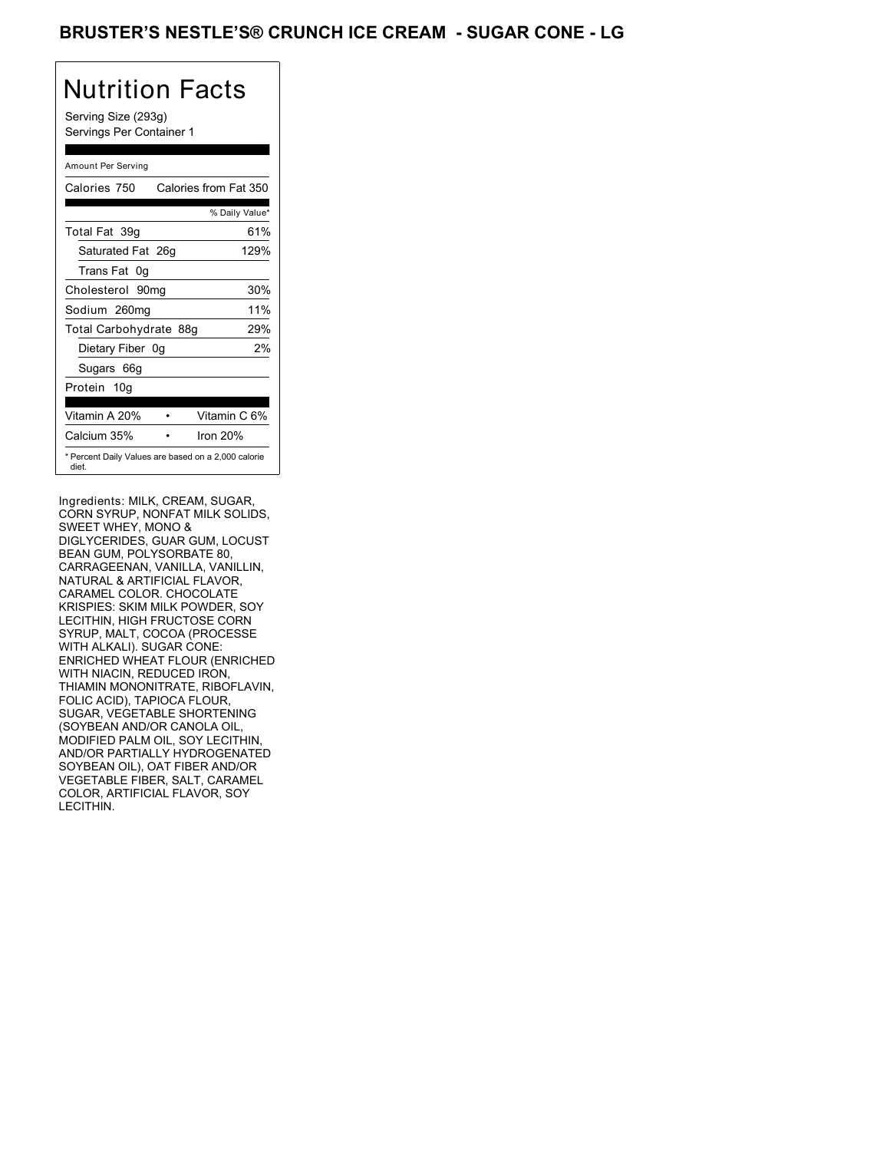### BRUSTER'S NESTLE'S® CRUNCH ICE CREAM - SUGAR CONE - LG

## Nutrition Facts

Serving Size (293g) Servings Per Container 1

### Amount Per Serving

| Calories 750           | Calories from Fat 350                               |
|------------------------|-----------------------------------------------------|
|                        | % Daily Value*                                      |
| Total Fat 39q          | 61%                                                 |
| Saturated Fat 26g      | 129%                                                |
| Trans Fat 0q           |                                                     |
| Cholesterol 90mg       | 30%                                                 |
| Sodium 260mg           | 11%                                                 |
| Total Carbohydrate 88g | 29%                                                 |
| Dietary Fiber 0g       | 2%                                                  |
| Sugars 66g             |                                                     |
| Protein 10g            |                                                     |
| Vitamin A 20%          | Vitamin C 6%                                        |
| Calcium 35%            | Iron 20%                                            |
| diet.                  | * Percent Daily Values are based on a 2,000 calorie |

Ingredients: MILK, CREAM, SUGAR, CORN SYRUP, NONFAT MILK SOLIDS, SWEET WHEY, MONO & DIGLYCERIDES, GUAR GUM, LOCUST BEAN GUM, POLYSORBATE 80, CARRAGEENAN, VANILLA, VANILLIN, NATURAL & ARTIFICIAL FLAVOR, CARAMEL COLOR. CHOCOLATE KRISPIES: SKIM MILK POWDER, SOY LECITHIN, HIGH FRUCTOSE CORN SYRUP, MALT, COCOA (PROCESSE WITH ALKALI). SUGAR CONE: ENRICHED WHEAT FLOUR (ENRICHED WITH NIACIN, REDUCED IRON, THIAMIN MONONITRATE, RIBOFLAVIN, FOLIC ACID), TAPIOCA FLOUR, SUGAR, VEGETABLE SHORTENING (SOYBEAN AND/OR CANOLA OIL, MODIFIED PALM OIL, SOY LECITHIN, AND/OR PARTIALLY HYDROGENATED SOYBEAN OIL), OAT FIBER AND/OR VEGETABLE FIBER, SALT, CARAMEL COLOR, ARTIFICIAL FLAVOR, SOY LECITHIN.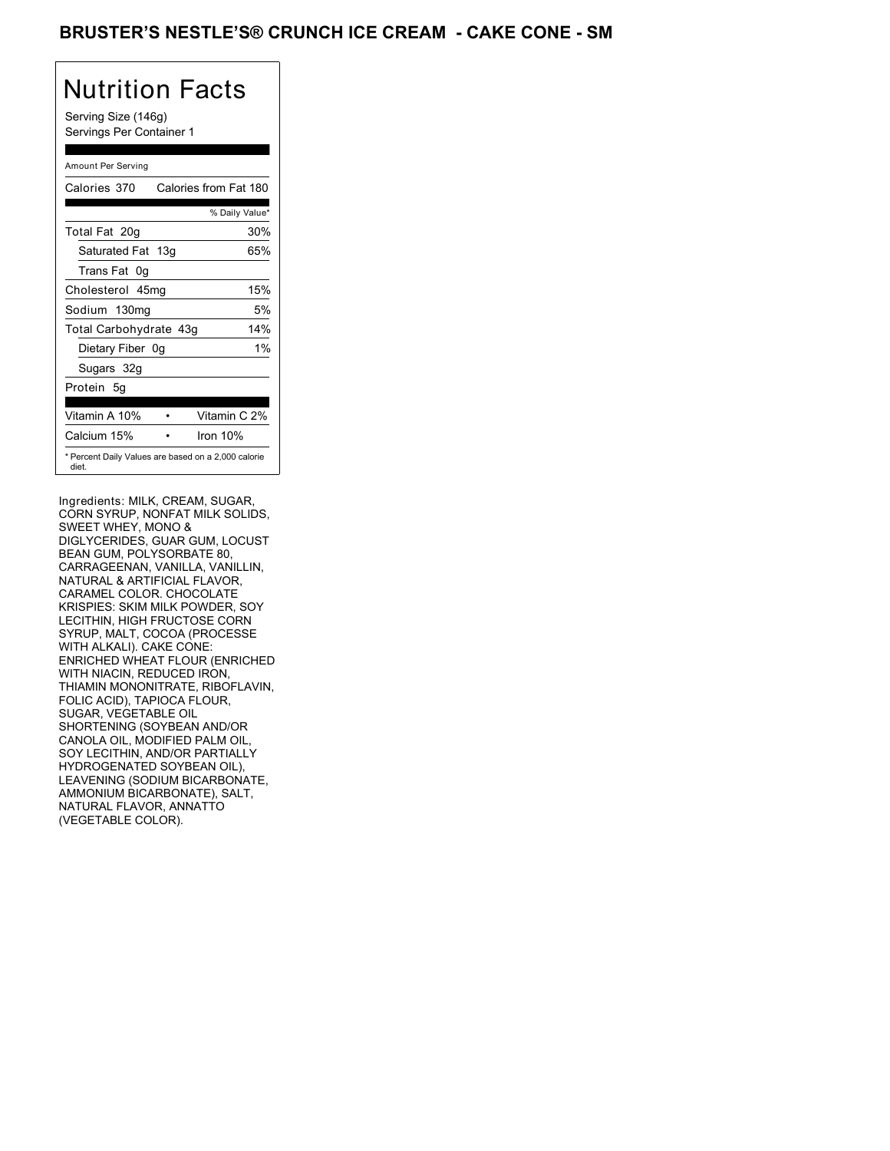## BRUSTER'S NESTLE'S® CRUNCH ICE CREAM **- CAKE CONE - SM**

# Nutrition Facts

Serving Size (146g) Servings Per Container 1

### Amount Per Serving

| Calories 370                                                 | Calories from Fat 180 |
|--------------------------------------------------------------|-----------------------|
|                                                              | % Daily Value*        |
| Total Fat 20g                                                | 30%                   |
| Saturated Fat 13g                                            | 65%                   |
| Trans Fat 0q                                                 |                       |
| Cholesterol 45mg                                             | 15%                   |
| Sodium 130mg                                                 | 5%                    |
| Total Carbohydrate 43g                                       | 14%                   |
| Dietary Fiber 0g                                             | $1\%$                 |
| Sugars 32g                                                   |                       |
| Protein 5q                                                   |                       |
| Vitamin A 10%                                                | Vitamin C 2%          |
| Calcium 15%                                                  | Iron $10%$            |
| * Percent Daily Values are based on a 2,000 calorie<br>diet. |                       |

Ingredients: MILK, CREAM, SUGAR, CORN SYRUP, NONFAT MILK SOLIDS, SWEET WHEY, MONO & DIGLYCERIDES, GUAR GUM, LOCUST BEAN GUM, POLYSORBATE 80, CARRAGEENAN, VANILLA, VANILLIN, NATURAL & ARTIFICIAL FLAVOR, CARAMEL COLOR. CHOCOLATE KRISPIES: SKIM MILK POWDER, SOY LECITHIN, HIGH FRUCTOSE CORN SYRUP, MALT, COCOA (PROCESSE WITH ALKALI). CAKE CONE: ENRICHED WHEAT FLOUR (ENRICHED WITH NIACIN, REDUCED IRON, THIAMIN MONONITRATE, RIBOFLAVIN, FOLIC ACID), TAPIOCA FLOUR, SUGAR, VEGETABLE OIL SHORTENING (SOYBEAN AND/OR CANOLA OIL, MODIFIED PALM OIL, SOY LECITHIN, AND/OR PARTIALLY HYDROGENATED SOYBEAN OIL), LEAVENING (SODIUM BICARBONATE, AMMONIUM BICARBONATE), SALT, NATURAL FLAVOR, ANNATTO (VEGETABLE COLOR).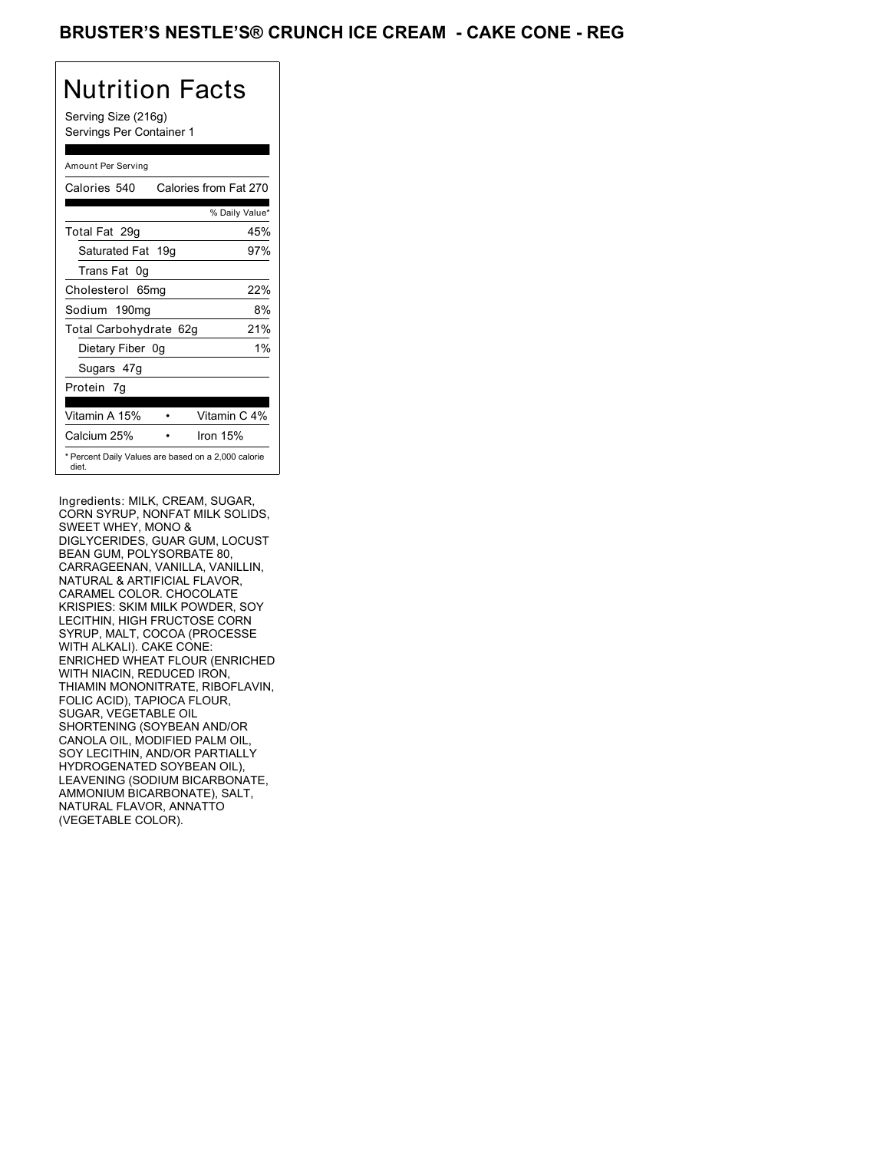## BRUSTER'S NESTLE'S® CRUNCH ICE CREAM - CAKE CONE - REG

# Nutrition Facts

Serving Size (216g) Servings Per Container 1

### Amount Per Serving

| Calories 540                                                 | Calories from Fat 270 |
|--------------------------------------------------------------|-----------------------|
|                                                              | % Daily Value*        |
| Total Fat 29g                                                | 45%                   |
| Saturated Fat 19g                                            | 97%                   |
| Trans Fat 0q                                                 |                       |
| Cholesterol 65mg                                             | 22%                   |
| Sodium 190mg                                                 | 8%                    |
| Total Carbohydrate 62g                                       | 21%                   |
| Dietary Fiber 0g                                             | $1\%$                 |
| Sugars 47g                                                   |                       |
| Protein 7q                                                   |                       |
| Vitamin A 15%                                                | Vitamin C 4%          |
| Calcium 25%                                                  | Iron $15%$            |
| * Percent Daily Values are based on a 2,000 calorie<br>diet. |                       |

Ingredients: MILK, CREAM, SUGAR, CORN SYRUP, NONFAT MILK SOLIDS, SWEET WHEY, MONO & DIGLYCERIDES, GUAR GUM, LOCUST BEAN GUM, POLYSORBATE 80, CARRAGEENAN, VANILLA, VANILLIN, NATURAL & ARTIFICIAL FLAVOR, CARAMEL COLOR. CHOCOLATE KRISPIES: SKIM MILK POWDER, SOY LECITHIN, HIGH FRUCTOSE CORN SYRUP, MALT, COCOA (PROCESSE WITH ALKALI). CAKE CONE: ENRICHED WHEAT FLOUR (ENRICHED WITH NIACIN, REDUCED IRON, THIAMIN MONONITRATE, RIBOFLAVIN, FOLIC ACID), TAPIOCA FLOUR, SUGAR, VEGETABLE OIL SHORTENING (SOYBEAN AND/OR CANOLA OIL, MODIFIED PALM OIL, SOY LECITHIN, AND/OR PARTIALLY HYDROGENATED SOYBEAN OIL), LEAVENING (SODIUM BICARBONATE, AMMONIUM BICARBONATE), SALT, NATURAL FLAVOR, ANNATTO (VEGETABLE COLOR).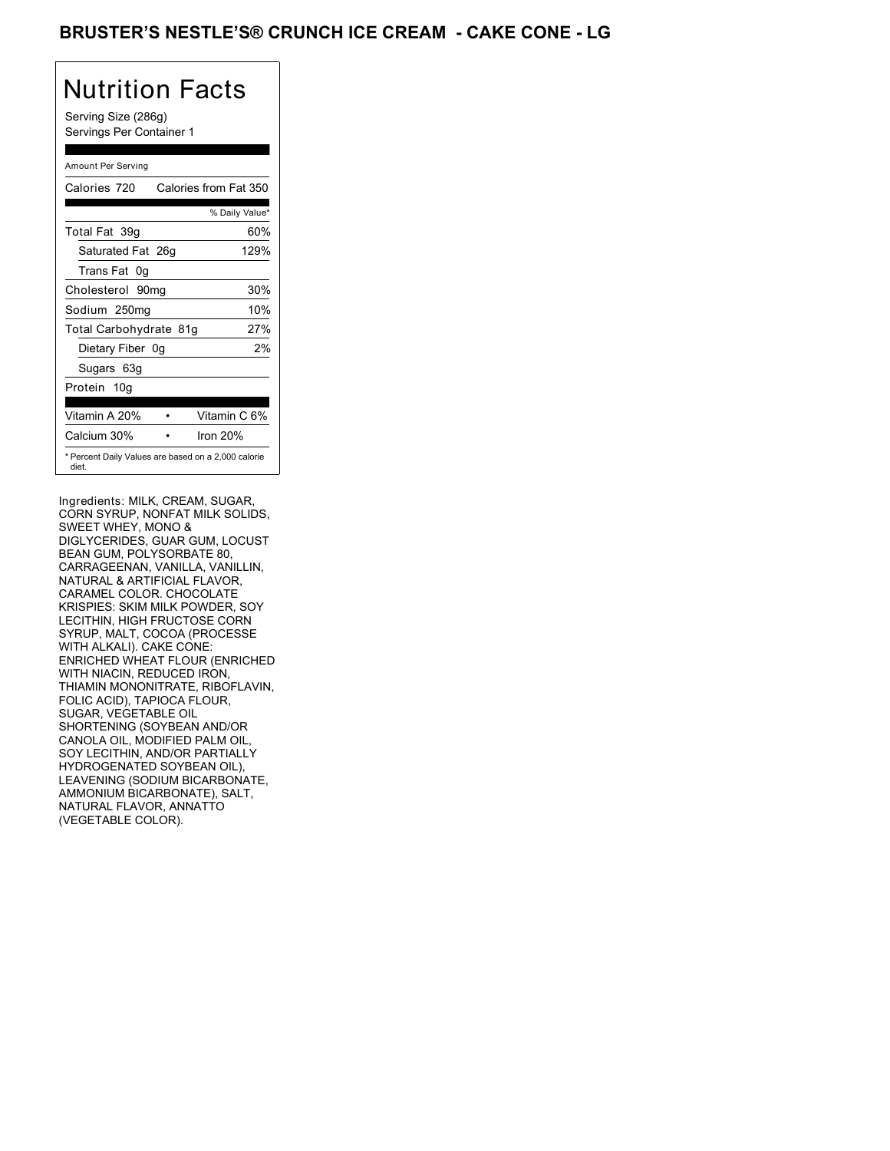## BRUSTER'S NESTLE'S® CRUNCH ICE CREAM - CAKE CONE - LG

# Nutrition Facts

Serving Size (286g) Servings Per Container 1

### Amount Per Serving

| Calories 720                                                 | Calories from Fat 350 |
|--------------------------------------------------------------|-----------------------|
|                                                              | % Daily Value*        |
| Total Fat 39q                                                | 60%                   |
| Saturated Fat 26g                                            | 129%                  |
| Trans Fat 0q                                                 |                       |
| Cholesterol 90mg                                             | 30%                   |
| Sodium 250mg                                                 | 10%                   |
| Total Carbohydrate 81g                                       | 27%                   |
| Dietary Fiber 0g                                             | 2%                    |
| Sugars 63g                                                   |                       |
| Protein 10q                                                  |                       |
| Vitamin A 20%                                                | Vitamin C 6%          |
|                                                              |                       |
| Calcium 30%                                                  | Iron $20%$            |
| * Percent Daily Values are based on a 2,000 calorie<br>diet. |                       |

Ingredients: MILK, CREAM, SUGAR, CORN SYRUP, NONFAT MILK SOLIDS, SWEET WHEY, MONO & DIGLYCERIDES, GUAR GUM, LOCUST BEAN GUM, POLYSORBATE 80, CARRAGEENAN, VANILLA, VANILLIN, NATURAL & ARTIFICIAL FLAVOR, CARAMEL COLOR. CHOCOLATE KRISPIES: SKIM MILK POWDER, SOY LECITHIN, HIGH FRUCTOSE CORN SYRUP, MALT, COCOA (PROCESSE WITH ALKALI). CAKE CONE: ENRICHED WHEAT FLOUR (ENRICHED WITH NIACIN, REDUCED IRON, THIAMIN MONONITRATE, RIBOFLAVIN, FOLIC ACID), TAPIOCA FLOUR, SUGAR, VEGETABLE OIL SHORTENING (SOYBEAN AND/OR CANOLA OIL, MODIFIED PALM OIL, SOY LECITHIN, AND/OR PARTIALLY HYDROGENATED SOYBEAN OIL), LEAVENING (SODIUM BICARBONATE, AMMONIUM BICARBONATE), SALT, NATURAL FLAVOR, ANNATTO (VEGETABLE COLOR).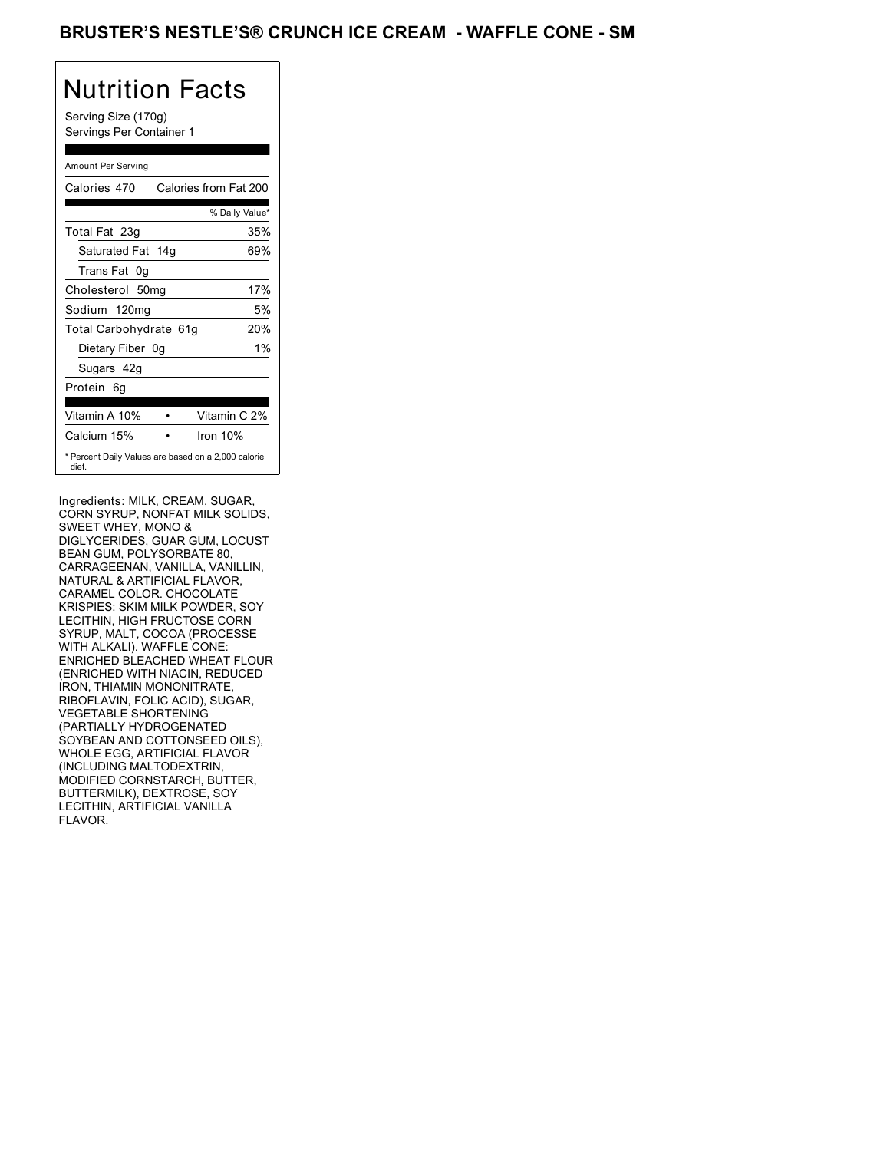### BRUSTER'S NESTLE'S® CRUNCH ICE CREAM - WAFFLE CONE - SM

# Nutrition Facts

Serving Size (170g) Servings Per Container 1

### Amount Per Serving

| Calories 470                                                 | Calories from Fat 200 |
|--------------------------------------------------------------|-----------------------|
|                                                              | % Daily Value*        |
| Total Fat 23g                                                | 35%                   |
| Saturated Fat 14g                                            | 69%                   |
| Trans Fat 0q                                                 |                       |
| Cholesterol 50mg                                             | 17%                   |
| Sodium 120mg                                                 | 5%                    |
| Total Carbohydrate 61g                                       | 20%                   |
| Dietary Fiber 0g                                             | $1\%$                 |
| Sugars 42g                                                   |                       |
| Protein 6q                                                   |                       |
| Vitamin A 10%                                                | Vitamin C 2%          |
| Calcium 15%                                                  | Iron $10%$            |
| * Percent Daily Values are based on a 2,000 calorie<br>diet. |                       |

Ingredients: MILK, CREAM, SUGAR, CORN SYRUP, NONFAT MILK SOLIDS, SWEET WHEY, MONO & DIGLYCERIDES, GUAR GUM, LOCUST BEAN GUM, POLYSORBATE 80, CARRAGEENAN, VANILLA, VANILLIN, NATURAL & ARTIFICIAL FLAVOR, CARAMEL COLOR. CHOCOLATE KRISPIES: SKIM MILK POWDER, SOY LECITHIN, HIGH FRUCTOSE CORN SYRUP, MALT, COCOA (PROCESSE WITH ALKALI). WAFFLE CONE: ENRICHED BLEACHED WHEAT FLOUR (ENRICHED WITH NIACIN, REDUCED IRON, THIAMIN MONONITRATE, RIBOFLAVIN, FOLIC ACID), SUGAR, VEGETABLE SHORTENING (PARTIALLY HYDROGENATED SOYBEAN AND COTTONSEED OILS), WHOLE EGG, ARTIFICIAL FLAVOR (INCLUDING MALTODEXTRIN, MODIFIED CORNSTARCH, BUTTER, BUTTERMILK), DEXTROSE, SOY LECITHIN, ARTIFICIAL VANILLA FLAVOR.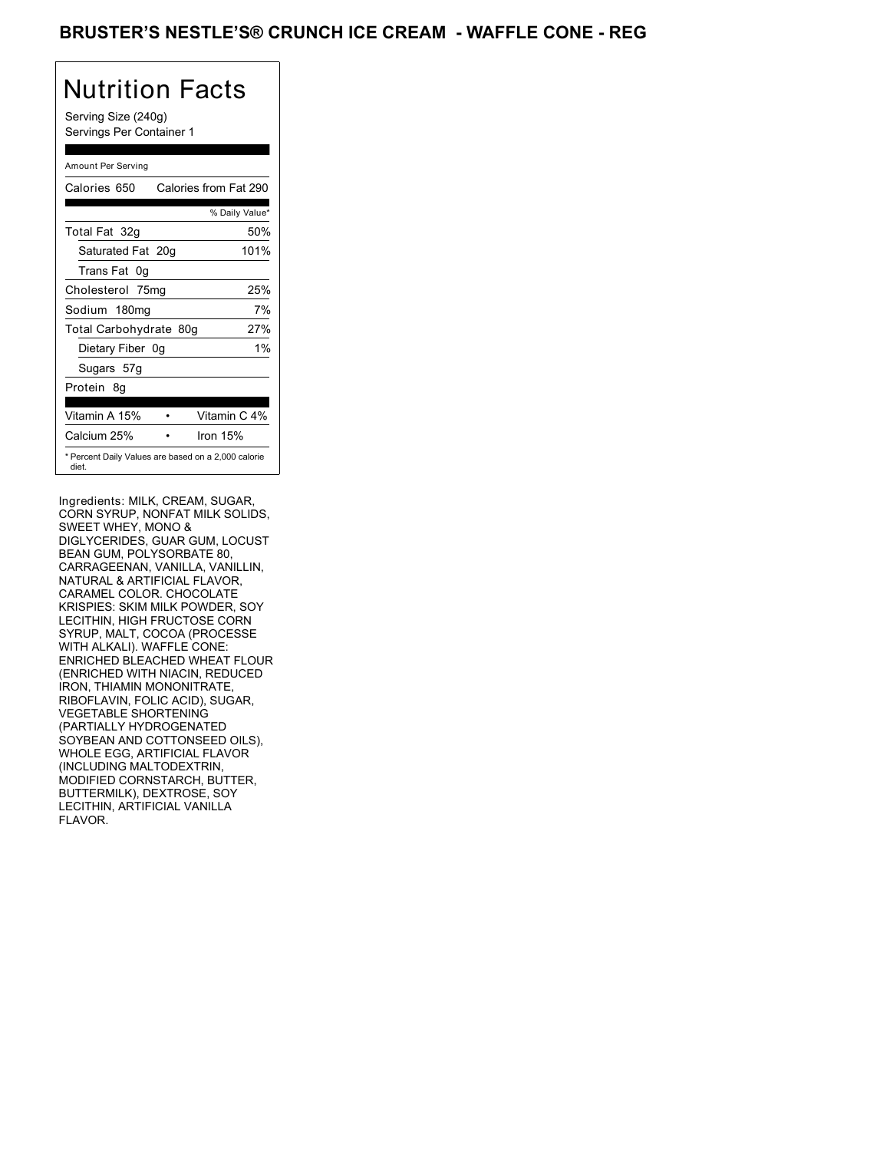## BRUSTER'S NESTLE'S® CRUNCH ICE CREAM - WAFFLE CONE - REG

# Nutrition Facts

Serving Size (240g) Servings Per Container 1

### Amount Per Serving

| Calories 650           | Calories from Fat 290                               |
|------------------------|-----------------------------------------------------|
|                        | % Daily Value*                                      |
| Total Fat 32g          | 50%                                                 |
| Saturated Fat 20g      | 101%                                                |
| Trans Fat 0q           |                                                     |
| Cholesterol 75mg       | 25%                                                 |
| Sodium 180mg           | 7%                                                  |
| Total Carbohydrate 80g | 27%                                                 |
| Dietary Fiber 0g       | $1\%$                                               |
| Sugars 57g             |                                                     |
| Protein 8q             |                                                     |
|                        |                                                     |
| Vitamin A 15%          | Vitamin C 4%                                        |
| Calcium 25%            | Iron 15%                                            |
| diet.                  | * Percent Daily Values are based on a 2,000 calorie |

Ingredients: MILK, CREAM, SUGAR, CORN SYRUP, NONFAT MILK SOLIDS, SWEET WHEY, MONO & DIGLYCERIDES, GUAR GUM, LOCUST BEAN GUM, POLYSORBATE 80, CARRAGEENAN, VANILLA, VANILLIN, NATURAL & ARTIFICIAL FLAVOR, CARAMEL COLOR. CHOCOLATE KRISPIES: SKIM MILK POWDER, SOY LECITHIN, HIGH FRUCTOSE CORN SYRUP, MALT, COCOA (PROCESSE WITH ALKALI). WAFFLE CONE: ENRICHED BLEACHED WHEAT FLOUR (ENRICHED WITH NIACIN, REDUCED IRON, THIAMIN MONONITRATE, RIBOFLAVIN, FOLIC ACID), SUGAR, VEGETABLE SHORTENING (PARTIALLY HYDROGENATED SOYBEAN AND COTTONSEED OILS), WHOLE EGG, ARTIFICIAL FLAVOR (INCLUDING MALTODEXTRIN, MODIFIED CORNSTARCH, BUTTER, BUTTERMILK), DEXTROSE, SOY LECITHIN, ARTIFICIAL VANILLA FLAVOR.